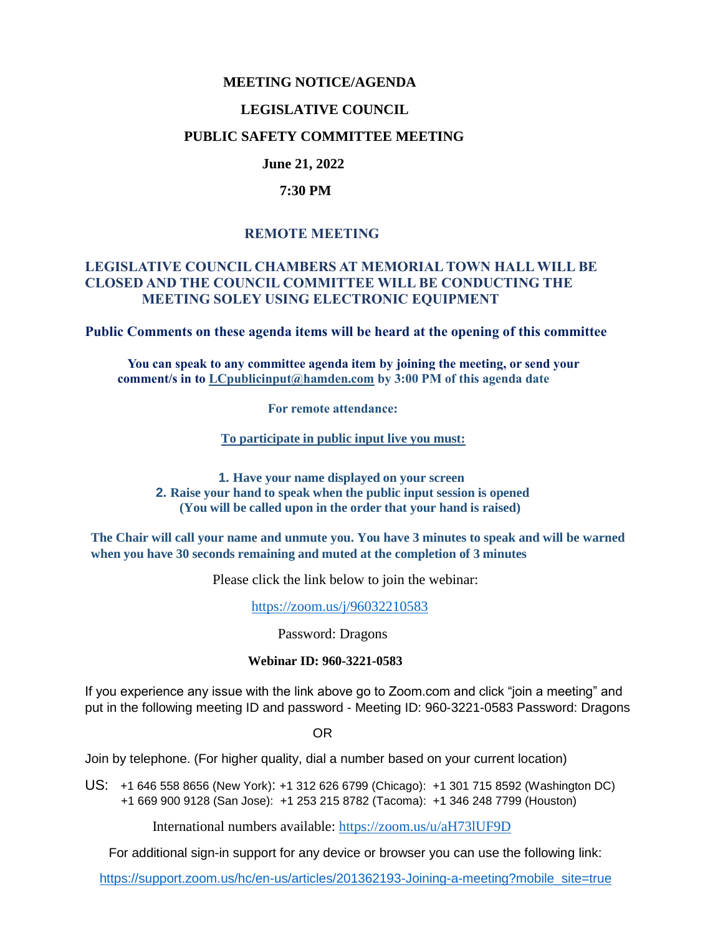## **MEETING NOTICE/AGENDA**

### **LEGISLATIVE COUNCIL**

### **PUBLIC SAFETY COMMITTEE MEETING**

# **June 21, 2022**

### **7:30 PM**

# **REMOTE MEETING**

# **LEGISLATIVE COUNCIL CHAMBERS AT MEMORIAL TOWN HALL WILL BE CLOSED AND THE COUNCIL COMMITTEE WILL BE CONDUCTING THE MEETING SOLEY USING ELECTRONIC EQUIPMENT**

**Public Comments on these agenda items will be heard at the opening of this committee** 

 **You can speak to any committee agenda item by joining the meeting, or send your comment/s in to [LCpublicinput@hamden.com](mailto:LCpublicinput@hamden.com) by 3:00 PM of this agenda date**

 **For remote attendance:**

**To participate in public input live you must:**

**1. Have your name displayed on your screen 2. Raise your hand to speak when the public input session is opened (You will be called upon in the order that your hand is raised)**

**The Chair will call your name and unmute you. You have 3 minutes to speak and will be warned when you have 30 seconds remaining and muted at the completion of 3 minutes**

Please click the link below to join the webinar:

<https://zoom.us/j/96032210583>

Password: Dragons

#### **Webinar ID: 960-3221-0583**

If you experience any issue with the link above go to Zoom.com and click "join a meeting" and put in the following meeting ID and password - Meeting ID: 960-3221-0583 Password: Dragons

OR

Join by telephone. (For higher quality, dial a number based on your current location)

US: [+1 646 558 8656 \(New York\)](tel:+16465588656): [+1 312 626 6799 \(Chicago\):](tel:+13126266799) [+1 301 715 8592 \(Washington DC\)](tel:+13017158592) +1 669 900 9128 (San Jose): [+1 253 215 8782 \(Tacoma\):](tel:+12532158782) [+1 346 248 7799 \(Houston\)](tel:+13462487799)

International numbers available:<https://zoom.us/u/aH73lUF9D>

For additional sign-in support for any device or browser you can use the following link:

[https://support.zoom.us/hc/en-us/articles/201362193-Joining-a-meeting?mobile\\_site=true](https://support.zoom.us/hc/en-us/articles/201362193-Joining-a-meeting?mobile_site=true)